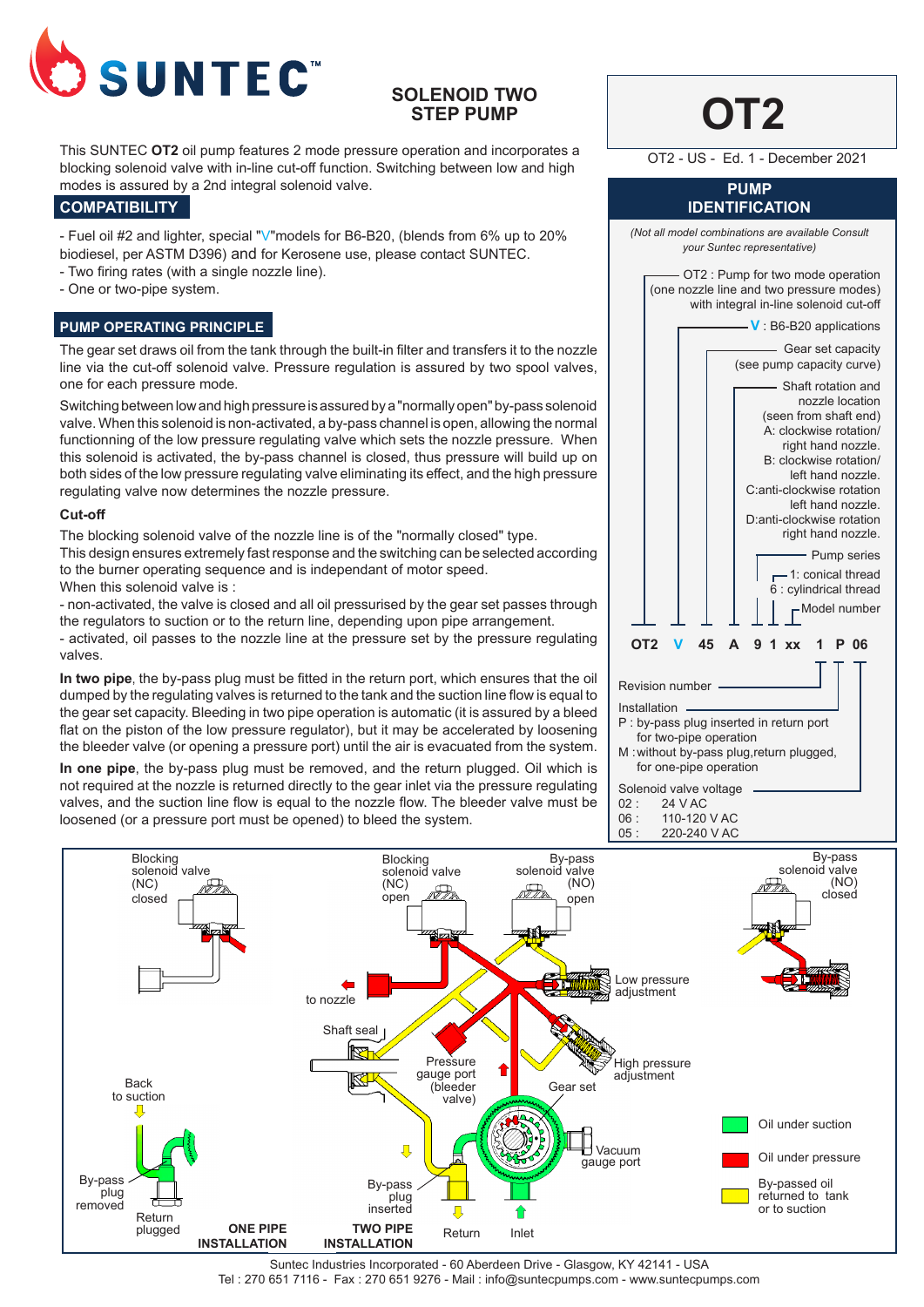

# **SOLENOID TWO STEP PUMP**

This SUNTEC **OT2** oil pump features 2 mode pressure operation and incorporates a blocking solenoid valve with in-line cut-off function. Switching between low and high modes is assured by a 2nd integral solenoid valve.

## **COMPATIBILITY**

- Fuel oil #2 and lighter, special "V"models for B6-B20, (blends from 6% up to 20% biodiesel, per ASTM D396) and for Kerosene use, please contact SUNTEC.

- Two firing rates (with a single nozzle line).
- One or two-pipe system.

# **PUMP OPERATING PRINCIPLE**

The gear set draws oil from the tank through the built-in filter and transfers it to the nozzle line via the cut-off solenoid valve. Pressure regulation is assured by two spool valves, one for each pressure mode.

Switching between low and high pressure is assured by a "normally open" by-pass solenoid valve. When this solenoid is non-activated, a by-pass channel is open, allowing the normal functionning of the low pressure regulating valve which sets the nozzle pressure. When this solenoid is activated, the by-pass channel is closed, thus pressure will build up on both sides of the low pressure regulating valve eliminating its effect, and the high pressure regulating valve now determines the nozzle pressure.

## **Cut-off**

The blocking solenoid valve of the nozzle line is of the "normally closed" type. This design ensures extremely fast response and the switching can be selected according to the burner operating sequence and is independant of motor speed. When this solenoid valve is :

- non-activated, the valve is closed and all oil pressurised by the gear set passes through the regulators to suction or to the return line, depending upon pipe arrangement.

- activated, oil passes to the nozzle line at the pressure set by the pressure regulating valves.

**In two pipe**, the by-pass plug must be fitted in the return port, which ensures that the oil dumped by the regulating valves is returned to the tank and the suction line flow is equal to the gear set capacity. Bleeding in two pipe operation is automatic (it is assured by a bleed flat on the piston of the low pressure regulator), but it may be accelerated by loosening the bleeder valve (or opening a pressure port) until the air is evacuated from the system.

**In one pipe**, the by-pass plug must be removed, and the return plugged. Oil which is not required at the nozzle is returned directly to the gear inlet via the pressure regulating valves, and the suction line flow is equal to the nozzle flow. The bleeder valve must be loosened (or a pressure port must be opened) to bleed the system.

# **OT2 PUMP IDENTIFICATION** *(Not all model combinations are available Consult your Suntec representative)* OT2 : Pump for two mode operation (one nozzle line and two pressure modes) with integral in-line solenoid cut-off **V** : B6-B20 applications Gear set capacity (see pump capacity curve) Shaft rotation and nozzle location (seen from shaft end) A: clockwise rotation/ right hand nozzle. B: clockwise rotation/ left hand nozzle. C:anti-clockwise rotation left hand nozzle. D:anti-clockwise rotation right hand nozzle. Pump series 1: conical thread 6 : cylindrical thread Model number **OT2 V 45 A 9 1 xx 1 P 06** Revision number Installation P : by-pass plug inserted in return port for two-pipe operation M :without by-pass plug,return plugged, for one-pipe operation Solenoid valve voltage<br>02 34 V AC OT2 - US - Ed. 1 - December 2021

02 : 24 V AC<br>06 : 110-120

110-120 V AC 05 : 220-240 V AC



Suntec Industries Incorporated - 60 Aberdeen Drive - Glasgow, KY 42141 - USA Tel : 270 651 7116 - Fax : 270 651 9276 - Mail : info@suntecpumps.com - www.suntecpumps.com